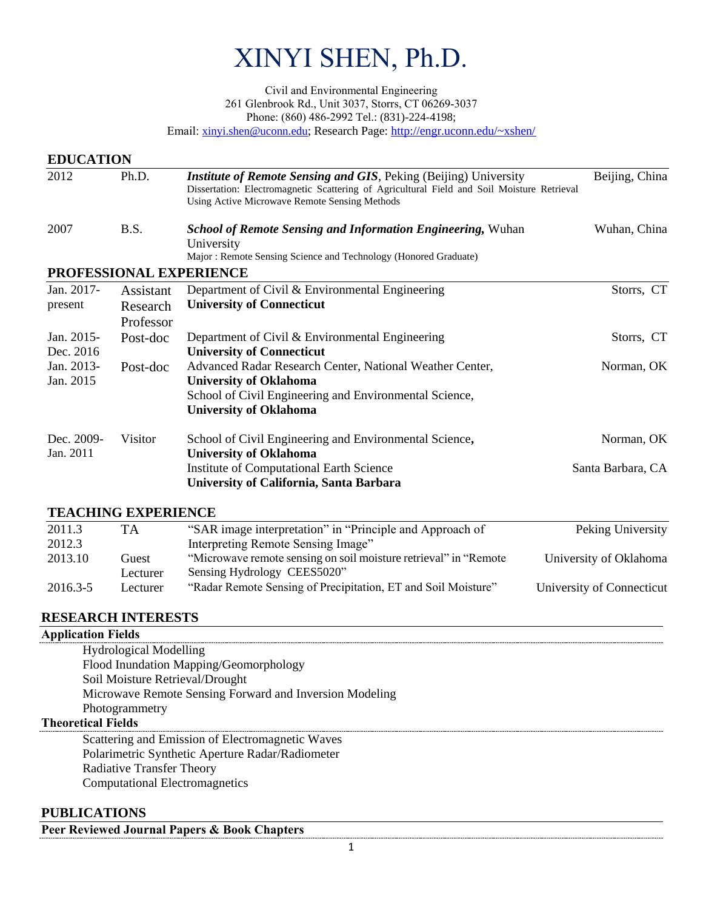# XINYI SHEN, Ph.D.

Civil and Environmental Engineering 261 Glenbrook Rd., Unit 3037, Storrs, CT 06269-3037 Phone: (860) 486-2992 Tel.: (831)-224-4198;

Email: [xinyi.shen@uconn.edu](mailto:xinyi.shen@uconn.edu); Research Page[: http://engr.uconn.edu/~xshen/](http://engr.uconn.edu/~xshen/%09)

#### **EDUCATION**

| 2012                    | Ph.D.<br><i>Institute of Remote Sensing and GIS</i> , Peking (Beijing) University<br>Dissertation: Electromagnetic Scattering of Agricultural Field and Soil Moisture Retrieval<br>Using Active Microwave Remote Sensing Methods |                                                                                                                                                                                       | Beijing, China                  |  |
|-------------------------|----------------------------------------------------------------------------------------------------------------------------------------------------------------------------------------------------------------------------------|---------------------------------------------------------------------------------------------------------------------------------------------------------------------------------------|---------------------------------|--|
| 2007                    | B.S.                                                                                                                                                                                                                             | <b>School of Remote Sensing and Information Engineering, Wuhan</b><br>University<br>Major: Remote Sensing Science and Technology (Honored Graduate)                                   | Wuhan, China                    |  |
|                         |                                                                                                                                                                                                                                  | PROFESSIONAL EXPERIENCE                                                                                                                                                               |                                 |  |
| Jan. 2017-<br>present   | Assistant<br>Research<br>Professor                                                                                                                                                                                               | Department of Civil & Environmental Engineering<br><b>University of Connecticut</b>                                                                                                   | Storrs, CT                      |  |
| Jan. 2015-<br>Dec. 2016 | Post-doc                                                                                                                                                                                                                         | Department of Civil & Environmental Engineering<br><b>University of Connecticut</b>                                                                                                   | Storrs, CT                      |  |
| Jan. 2013-<br>Jan. 2015 | Post-doc                                                                                                                                                                                                                         | Advanced Radar Research Center, National Weather Center,<br><b>University of Oklahoma</b><br>School of Civil Engineering and Environmental Science,<br><b>University of Oklahoma</b>  | Norman, OK                      |  |
| Dec. 2009-<br>Jan. 2011 | Visitor                                                                                                                                                                                                                          | School of Civil Engineering and Environmental Science,<br><b>University of Oklahoma</b><br><b>Institute of Computational Earth Science</b><br>University of California, Santa Barbara | Norman, OK<br>Santa Barbara, CA |  |

# **TEACHING EXPERIENCE**

| 2011.3   | TA.      | "SAR image interpretation" in "Principle and Approach of          | Peking University         |
|----------|----------|-------------------------------------------------------------------|---------------------------|
| 2012.3   |          | Interpreting Remote Sensing Image"                                |                           |
| 2013.10  | Guest    | "Microwave remote sensing on soil moisture retrieval" in "Remote" | University of Oklahoma    |
|          | Lecturer | Sensing Hydrology CEES5020"                                       |                           |
| 2016.3-5 | Lecturer | "Radar Remote Sensing of Precipitation, ET and Soil Moisture"     | University of Connecticut |

# **RESEARCH INTERESTS**

# **Application Fields** Hydrological Modelling Flood Inundation Mapping/Geomorphology Soil Moisture Retrieval/Drought

Microwave Remote Sensing Forward and Inversion Modeling Photogrammetry

#### **Theoretical Fields**

Scattering and Emission of Electromagnetic Waves Polarimetric Synthetic Aperture Radar/Radiometer Radiative Transfer Theory Computational Electromagnetics

# **PUBLICATIONS**

**Peer Reviewed Journal Papers & Book Chapters**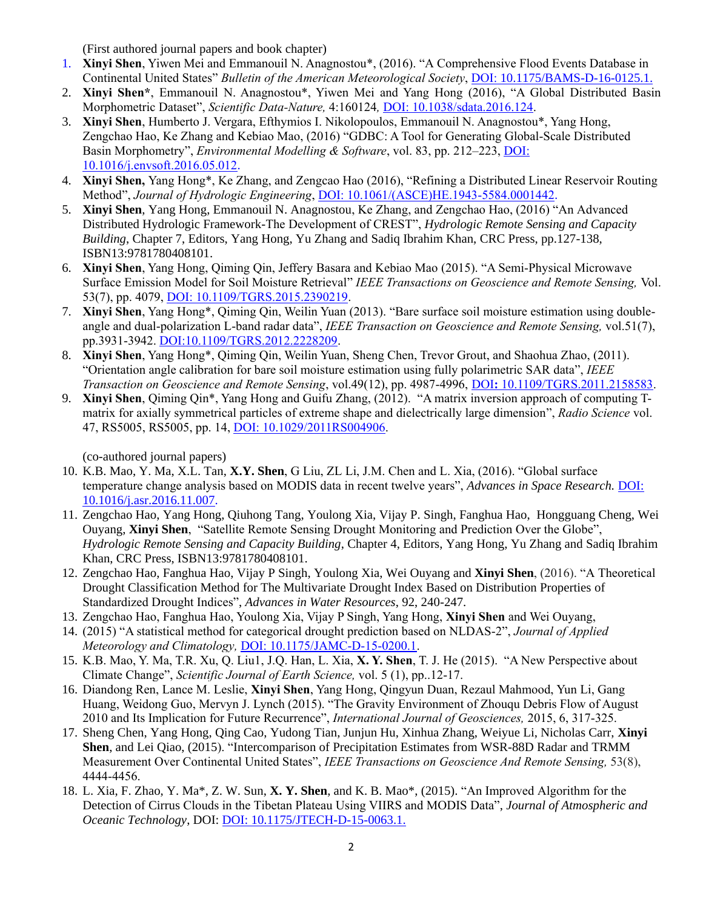(First authored journal papers and book chapter)

- 1. **Xinyi Shen**, Yiwen Mei and Emmanouil N. Anagnostou\*, (2016). "A Comprehensive Flood Events Database in Continental United States" *Bulletin of the American Meteorological Society*, DOI: [10.1175/BAMS-D-16-0125.1.](http://dx.doi.org/10.1175/BAMS-D-16-0125.1.)
- 2. **Xinyi Shen\***, Emmanouil N. Anagnostou\*, Yiwen Mei and Yang Hong (2016), "A Global Distributed Basin Morphometric Dataset", *Scientific Data-Nature,* 4:160124*,* DOI: [10.1038/sdata.2016.124.](http://dx.doi.org/10.1038/sdata.2016.124)
- 3. **Xinyi Shen**, Humberto J. Vergara, Efthymios I. Nikolopoulos, Emmanouil N. Anagnostou\*, Yang Hong, Zengchao Hao, Ke Zhang and Kebiao Mao, (2016) "GDBC: A Tool for Generating Global-Scale Distributed Basin Morphometry", *Environmental Modelling & Software*, [vol. 83,](http://www.sciencedirect.com/science/journal/13648152/83/supp/C) pp. 212-223, *DOI:* [10.1016/j.envsoft.2016.05.012](http://dx.doi.org/10.1016/j.envsoft.2016.05.012).
- 4. **Xinyi Shen,** Yang Hong\*, Ke Zhang, and Zengcao Hao (2016), "Refining a Distributed Linear Reservoir Routing Method", *Journal of Hydrologic Engineering*, [DOI: 10.1061/\(ASCE\)HE.1943-5584.0001442](http://dx.doi.org/10.1061/(ASCE)HE.1943-5584.0001442).
- 5. **Xinyi Shen**, Yang Hong, Emmanouil N. Anagnostou, Ke Zhang, and Zengchao Hao, (2016) "An Advanced Distributed Hydrologic Framework-The Development of CREST", *Hydrologic Remote Sensing and Capacity Building*, Chapter 7, Editors, Yang Hong, Yu Zhang and Sadiq Ibrahim Khan, CRC Press, pp.127-138, ISBN13:9781780408101.
- 6. **Xinyi Shen**, Yang Hong, Qiming Qin, Jeffery Basara and Kebiao Mao (2015). "A Semi-Physical Microwave Surface Emission Model for Soil Moisture Retrieval" *IEEE Transactions on Geoscience and Remote Sensing,* Vol. 53(7), pp. 4079, [DOI: 10.1109/TGRS.2015.2390219.](http://dx.doi.org/10.1109/TGRS.2015.2390219)
- 7. **Xinyi Shen**, Yang Hong\*, Qiming Qin, Weilin Yuan (2013). "Bare surface soil moisture estimation using doubleangle and dual-polarization L-band radar data", *IEEE Transaction on Geoscience and Remote Sensing,* vol.51(7), pp.3931-3942. [DOI:10.1109/TGRS.2012.2228209.](http://dx.doi.org/10.1109/TGRS.2012.2228209)
- 8. **Xinyi Shen**, Yang Hong\*, Qiming Qin, Weilin Yuan, Sheng Chen, Trevor Grout, and Shaohua Zhao, (2011). "Orientation angle calibration for bare soil moisture estimation using fully polarimetric SAR data", *IEEE Transaction on Geoscience and Remote Sensing*, vol.49(12), pp. 4987-4996, DOI**:** [10.1109/TGRS.2011.2158583.](https://doi.org/10.1109/TGRS.2011.2158583)
- 9. **Xinyi Shen**, Qiming Qin\*, Yang Hong and Guifu Zhang, (2012). "A matrix inversion approach of computing Tmatrix for axially symmetrical particles of extreme shape and dielectrically large dimension", *Radio Science* vol. 47, RS5005, RS5005, pp. 14, [DOI: 10.1029/2011RS004906.](https://doi.org/10.1029/2011RS004906)

(co-authored journal papers)

- 10. K.B. Mao, Y. Ma, X.L. Tan, **X.Y. Shen**, G Liu, ZL Li, J.M. Chen and L. Xia, (2016). "Global surface temperature change analysis based on MODIS data in recent twelve years", *Advances in Space Research*. **DOI:** [10.1016/j.asr.2016.11.007.](http://dx.doi.org/10.1016/j.asr.2016.11.007)
- 11. Zengchao Hao, Yang Hong, Qiuhong Tang, Youlong Xia, Vijay P. Singh, Fanghua Hao, Hongguang Cheng, Wei Ouyang, **Xinyi Shen**, "Satellite Remote Sensing Drought Monitoring and Prediction Over the Globe", *Hydrologic Remote Sensing and Capacity Building*, Chapter 4, Editors, Yang Hong, Yu Zhang and Sadiq Ibrahim Khan, CRC Press, ISBN13:9781780408101.
- 12. Zengchao Hao, Fanghua Hao, Vijay P Singh, Youlong Xia, Wei Ouyang and **Xinyi Shen**, (2016). "A Theoretical Drought Classification Method for The Multivariate Drought Index Based on Distribution Properties of Standardized Drought Indices", *Advances in Water Resources*, 92, 240-247.
- 13. Zengchao Hao, Fanghua Hao, Youlong Xia, Vijay P Singh, Yang Hong, **Xinyi Shen** and Wei Ouyang,
- 14. (2015) "A statistical method for categorical drought prediction based on NLDAS-2", *Journal of Applied Meteorology and Climatology,* DOI: [10.1175/JAMC-D-15-0200.1.](http://dx.doi.org/10.1175/JAMC-D-15-0200.1)
- 15. K.B. Mao, Y. Ma, T.R. Xu, Q. Liu1, J.Q. Han, L. Xia, **X. Y. Shen**, T. J. He (2015). "A New Perspective about Climate Change", *Scientific Journal of Earth Science,* vol. 5 (1), pp..12-17.
- 16. Diandong Ren, Lance M. Leslie, **Xinyi Shen**, Yang Hong, Qingyun Duan, Rezaul Mahmood, Yun Li, Gang Huang, Weidong Guo, Mervyn J. Lynch (2015). "The Gravity Environment of Zhouqu Debris Flow of August 2010 and Its Implication for Future Recurrence", *International Journal of Geosciences,* 2015, 6, 317-325.
- 17. Sheng Chen, Yang Hong, Qing Cao, Yudong Tian, Junjun Hu, Xinhua Zhang, Weiyue Li, Nicholas Carr, **Xinyi Shen**, and Lei Qiao, (2015). "Intercomparison of Precipitation Estimates from WSR-88D Radar and TRMM Measurement Over Continental United States", *IEEE Transactions on Geoscience And Remote Sensing,* 53(8), 4444-4456.
- 18. L. Xia, F. Zhao, Y. Ma\*, Z. W. Sun, **X. Y. Shen**, and K. B. Mao\*, (2015). "An Improved Algorithm for the Detection of Cirrus Clouds in the Tibetan Plateau Using VIIRS and MODIS Data", *Journal of Atmospheric and Oceanic Technology*, DOI: [DOI: 10.1175/JTECH-D-15-0063.1.](http://dx.doi.org/10.1175/JTECH-D-15-0063.1)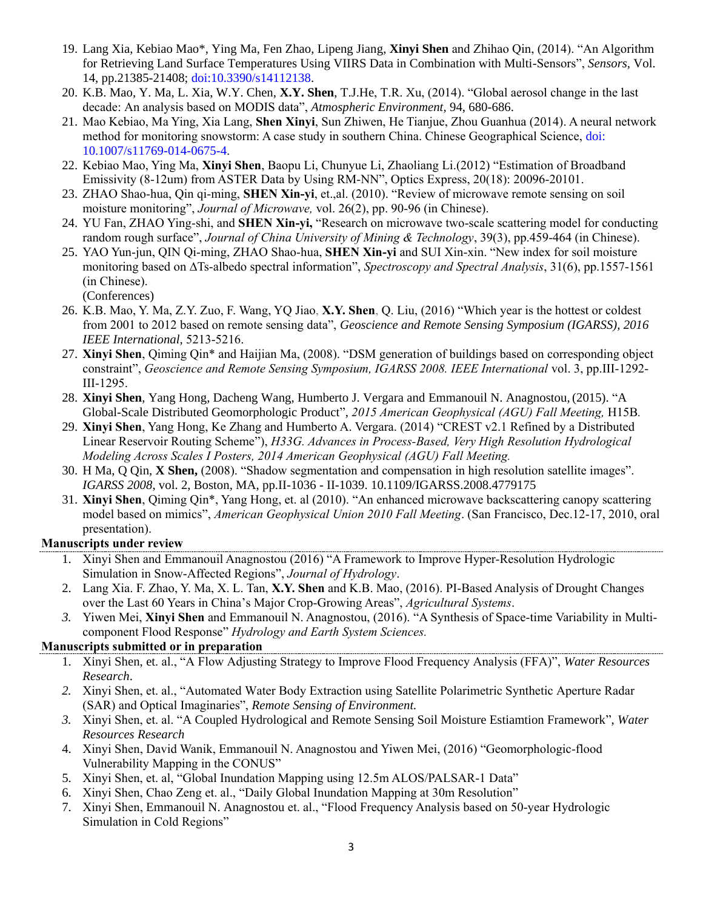- 19. Lang Xia, Kebiao Mao\*, Ying Ma, Fen Zhao, Lipeng Jiang, **Xinyi Shen** and Zhihao Qin, (2014). "An Algorithm for Retrieving Land Surface Temperatures Using VIIRS Data in Combination with Multi-Sensors", *Sensors,* Vol. 14, pp.21385-21408; doi:10.3390/s14112138.
- 20. K.B. Mao, Y. Ma, L. Xia, W.Y. Chen, **X.Y. Shen**, T.J.He, T.R. Xu, (2014). "Global aerosol change in the last decade: An analysis based on MODIS data", *Atmospheric Environment,* 94, 680-686.
- 21. Mao Kebiao, Ma Ying, Xia Lang, **Shen Xinyi**, Sun Zhiwen, He Tianjue, Zhou Guanhua (2014). A neural network method for monitoring snowstorm: A case study in southern China. Chinese Geographical Science, doi: 10.1007/s11769-014-0675-4.
- 22. Kebiao Mao, Ying Ma, **Xinyi Shen**, Baopu Li, Chunyue Li, Zhaoliang Li.(2012) "Estimation of Broadband Emissivity (8-12um) from ASTER Data by Using RM-NN", Optics Express, 20(18): 20096-20101.
- 23. ZHAO Shao-hua, Qin qi-ming, **SHEN Xin-yi**, et.,al. (2010). "Review of microwave remote sensing on soil moisture monitoring", *Journal of Microwave,* vol. 26(2), pp. 90-96 (in Chinese).
- 24. YU Fan, ZHAO Ying-shi, and **SHEN Xin-yi,** "Research on microwave two-scale scattering model for conducting random rough surface", *Journal of China University of Mining & Technology*, 39(3), pp.459-464 (in Chinese).
- 25. YAO Yun-jun, QIN Qi-ming, ZHAO Shao-hua, **SHEN Xin-yi** and SUI Xin-xin. "New index for soil moisture monitoring based on ∆Ts-albedo spectral information", *Spectroscopy and Spectral Analysis*, 31(6), pp.1557-1561 (in Chinese). (Conferences)
- 26. K.B. Mao, Y. Ma, Z.Y. Zuo, F. Wang, YQ Jiao, **X.Y. Shen**, Q. Liu, (2016) "Which year is the hottest or coldest from 2001 to 2012 based on remote sensing data", *Geoscience and Remote Sensing Symposium (IGARSS), 2016 IEEE International,* 5213-5216.
- 27. **Xinyi Shen**, Qiming Qin\* and Haijian Ma, (2008). "DSM generation of buildings based on corresponding object constraint", *Geoscience and Remote Sensing Symposium, IGARSS 2008. IEEE International* vol. 3, pp.III-1292- III-1295.
- 28. **Xinyi Shen**, Yang Hong, Dacheng Wang, Humberto J. Vergara and Emmanouil N. Anagnostou,(2015). "A Global-Scale Distributed Geomorphologic Product", *2015 American Geophysical (AGU) Fall Meeting,* H15B*.*
- 29. **Xinyi Shen**, Yang Hong, Ke Zhang and Humberto A. Vergara. (2014) "CREST v2.1 Refined by a Distributed Linear Reservoir Routing Scheme"), *H33G. Advances in Process-Based, Very High Resolution Hydrological Modeling Across Scales I Posters, 2014 American Geophysical (AGU) Fall Meeting.*
- 30. H Ma, Q Qin, **X Shen,** (2008). "Shadow segmentation and compensation in high resolution satellite images". *IGARSS 2008*, vol. 2, Boston, MA, pp.II-1036 - II-1039. [10.1109/IGARSS.2008.4779175](http://dx.doi.org/10.1109/IGARSS.2008.4779175)
- 31. **Xinyi Shen**, Qiming Qin\*, Yang Hong, et. al (2010). "An enhanced microwave backscattering canopy scattering model based on mimics", *American Geophysical Union 2010 Fall Meeting*. (San Francisco, Dec.12-17, 2010, oral presentation).

# **Manuscripts under review**

- 1. Xinyi Shen and Emmanouil Anagnostou (2016) "A Framework to Improve Hyper-Resolution Hydrologic Simulation in Snow-Affected Regions", *Journal of Hydrology*.
- 2. Lang Xia. F. Zhao, Y. Ma, X. L. Tan, **X.Y. Shen** and K.B. Mao, (2016). PI-Based Analysis of Drought Changes over the Last 60 Years in China's Major Crop-Growing Areas", *Agricultural Systems*.
- *3.* Yiwen Mei, **Xinyi Shen** and Emmanouil N. Anagnostou, (2016). "A Synthesis of Space-time Variability in Multicomponent Flood Response" *Hydrology and Earth System Sciences.*

# **Manuscripts submitted or in preparation**

- 1. Xinyi Shen, et. al., "A Flow Adjusting Strategy to Improve Flood Frequency Analysis (FFA)", *Water Resources Research*.
- *2.* Xinyi Shen, et. al., "Automated Water Body Extraction using Satellite Polarimetric Synthetic Aperture Radar (SAR) and Optical Imaginaries", *Remote Sensing of Environment.*
- *3.* Xinyi Shen, et. al. "A Coupled Hydrological and Remote Sensing Soil Moisture Estiamtion Framework", *Water Resources Research*
- 4. Xinyi Shen, David Wanik, Emmanouil N. Anagnostou and Yiwen Mei, (2016) "Geomorphologic-flood Vulnerability Mapping in the CONUS"
- 5. Xinyi Shen, et. al, "Global Inundation Mapping using 12.5m ALOS/PALSAR-1 Data"
- 6. Xinyi Shen, Chao Zeng et. al., "Daily Global Inundation Mapping at 30m Resolution"
- 7. Xinyi Shen, Emmanouil N. Anagnostou et. al., "Flood Frequency Analysis based on 50-year Hydrologic Simulation in Cold Regions"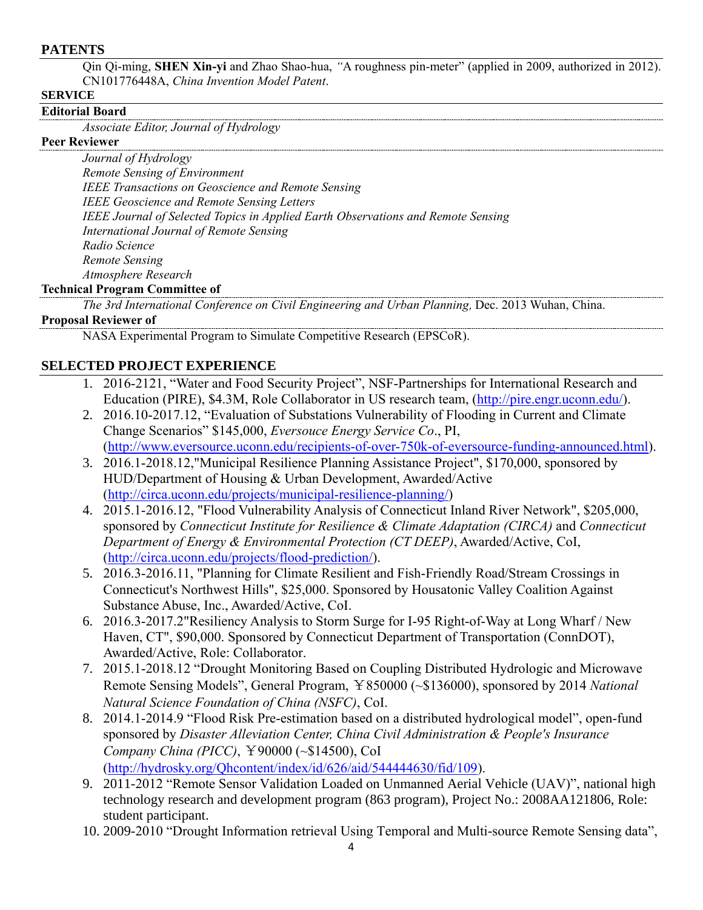#### **PATENTS**

Qin Qi-ming, **SHEN Xin-yi** and Zhao Shao-hua, *"*A roughness pin-meter" (applied in 2009, authorized in 2012). CN101776448A, *China Invention Model Patent*.

#### **SERVICE**

#### **Editorial Board**

*Associate Editor, Journal of Hydrology* 

# **Peer Reviewer**

*Journal of Hydrology Remote Sensing of Environment IEEE Transactions on Geoscience and Remote Sensing IEEE Geoscience and Remote Sensing Letters IEEE Journal of Selected Topics in Applied Earth Observations and Remote Sensing International Journal of Remote Sensing Radio Science Remote Sensing Atmosphere Research*

#### **Technical Program Committee of**

*The 3rd International Conference on Civil Engineering and Urban Planning,* Dec. 2013 Wuhan, China.

#### **Proposal Reviewer of**

NASA Experimental Program to Simulate Competitive Research (EPSCoR).

# **SELECTED PROJECT EXPERIENCE**

- 1. 2016-2121, "Water and Food Security Project", NSF-Partnerships for International Research and Education (PIRE), \$4.3M, Role Collaborator in US research team, [\(http://pire.engr.uconn.edu/\)](http://pire.engr.uconn.edu/).
- 2. 2016.10-2017.12, "Evaluation of Substations Vulnerability of Flooding in Current and Climate Change Scenarios" \$145,000, *Eversouce Energy Service Co*., PI, [\(http://www.eversource.uconn.edu/recipients-of-over-750k-of-eversource-funding-announced.html\)](http://www.eversource.uconn.edu/recipients-of-over-750k-of-eversource-funding-announced.html).
- 3. 2016.1-2018.12,"Municipal Resilience Planning Assistance Project", \$170,000, sponsored by HUD/Department of Housing & Urban Development, Awarded/Active [\(http://circa.uconn.edu/projects/municipal-resilience-planning/\)](http://circa.uconn.edu/projects/municipal-resilience-planning/)
- 4. 2015.1-2016.12, "Flood Vulnerability Analysis of Connecticut Inland River Network", \$205,000, sponsored by *Connecticut Institute for Resilience & Climate Adaptation (CIRCA)* and *Connecticut Department of Energy & Environmental Protection (CT DEEP)*, Awarded/Active, CoI, [\(http://circa.uconn.edu/projects/flood-prediction/\)](http://circa.uconn.edu/projects/flood-prediction/).
- 5. 2016.3-2016.11, "Planning for Climate Resilient and Fish-Friendly Road/Stream Crossings in Connecticut's Northwest Hills", \$25,000. Sponsored by Housatonic Valley Coalition Against Substance Abuse, Inc., Awarded/Active, CoI.
- 6. 2016.3-2017.2"Resiliency Analysis to Storm Surge for I-95 Right-of-Way at Long Wharf / New Haven, CT", \$90,000. Sponsored by Connecticut Department of Transportation (ConnDOT), Awarded/Active, Role: Collaborator.
- 7. 2015.1-2018.12 "Drought Monitoring Based on Coupling Distributed Hydrologic and Microwave Remote Sensing Models", General Program, ¥850000 (~\$136000), sponsored by 2014 *National Natural Science Foundation of China (NSFC)*, CoI.
- 8. 2014.1-2014.9 "Flood Risk Pre-estimation based on a distributed hydrological model", open-fund sponsored by *Disaster Alleviation Center, China Civil Administration & People's Insurance Company China (PICC)*, ¥90000 (~\$14500), CoI [\(http://hydrosky.org/Qhcontent/index/id/626/aid/544444630/fid/109\)](http://hydrosky.org/Qhcontent/index/id/626/aid/544444630/fid/109).
- 9. 2011-2012 "Remote Sensor Validation Loaded on Unmanned Aerial Vehicle (UAV)", national high technology research and development program (863 program), Project No.: 2008AA121806, Role: student participant.
- 10. 2009-2010 "Drought Information retrieval Using Temporal and Multi-source Remote Sensing data",